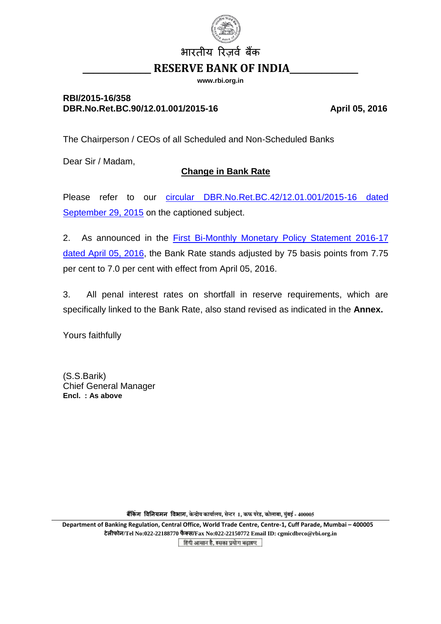

**www.rbi.org.in**

## **RBI/2015-16/358** DBR.No.Ret.BC.90/12.01.001/2015-16 April 05, 2016

The Chairperson / CEOs of all Scheduled and Non-Scheduled Banks

Dear Sir / Madam,

## **Change in Bank Rate**

Please refer to our circular [DBR.No.Ret.BC.42/12.01.001/2015-16](https://www.rbi.org.in/Scripts/NotificationUser.aspx?Id=10050&Mode=0) dated [September 29, 2015](https://www.rbi.org.in/Scripts/NotificationUser.aspx?Id=10050&Mode=0) on the captioned subject.

2. As announced in the First [Bi-Monthly Monetary Policy Statement 2016-17](https://www.rbi.org.in/scripts/BS_PressReleaseDisplay.aspx?prid=36654) [dated April 05, 2016,](https://www.rbi.org.in/scripts/BS_PressReleaseDisplay.aspx?prid=36654) the Bank Rate stands adjusted by 75 basis points from 7.75 per cent to 7.0 per cent with effect from April 05, 2016.

3. All penal interest rates on shortfall in reserve requirements, which are specifically linked to the Bank Rate, also stand revised as indicated in the **Annex.**

Yours faithfully

(S.S.Barik) Chief General Manager **Encl. : As above**

**बैंकिंग विनियमन विभाग, केन्द्रीय कार्यालय, सेन्टर 1, कफ परेड, कोलाबा, मुंबई - 400005** 

**Department of Banking Regulation, Central Office, World Trade Centre, Centre-1, Cuff Parade, Mumbai – 400005 टेलीफोि/Tel No:022-22188770 फै क् स/Fax No:022-22150772 Email ID: cgmicdbrco@rbi.org.in**हिंदी आसान है, इसका प्रयोग बढ़ाइए